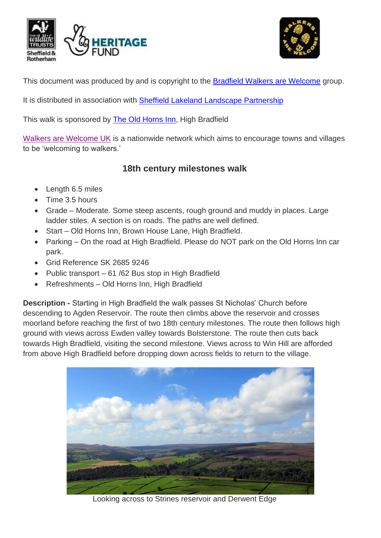



This document was produced by and is copyright to the Bradfield [Walkers are Welcome](http://www.stocksbridge-walkers.org.uk/index.html) group.

It is distributed in association with [Sheffield Lakeland Landscape Partnership](https://www.wildsheffield.com/discover/your-community/sheffield-lakeland-landscape-partnership/)

This walk is sponsored by [The Old Horns Inn,](http://www.theoldhorns.co.uk/) High Bradfield

[Walkers are Welcome UK](http://www.walkersarewelcome.org.uk/) is a nationwide network which aims to encourage towns and villages to be 'welcoming to walkers.'

# **18th century milestones walk**

- Length 6.5 miles
- Time 3.5 hours
- Grade Moderate. Some steep ascents, rough ground and muddy in places. Large ladder stiles. A section is on roads. The paths are well defined.
- Start Old Horns Inn, Brown House Lane, High Bradfield.
- Parking On the road at High Bradfield. Please do NOT park on the Old Horns Inn car park.
- Grid Reference SK 2685 9246
- Public transport 61 /62 Bus stop in High Bradfield
- Refreshments Old Horns Inn, High Bradfield

**Description -** Starting in High Bradfield the walk passes St Nicholas' Church before descending to Agden Reservoir. The route then climbs above the reservoir and crosses moorland before reaching the first of two 18th century milestones. The route then follows high ground with views across Ewden valley towards Bolsterstone. The route then cuts back towards High Bradfield, visiting the second milestone. Views across to Win Hill are afforded from above High Bradfield before dropping down across fields to return to the village.



Looking across to Strines reservoir and Derwent Edge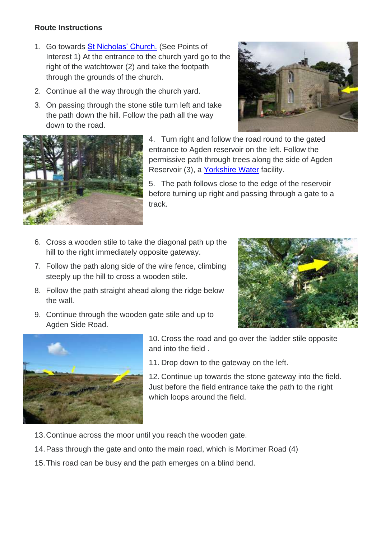#### **Route Instructions**

- 1. Go towards [St Nicholas' Church.](http://www.achurchnearyou.com/bradfield-st-nicholas/) (See Points of Interest 1) At the entrance to the church yard go to the right of the watchtower (2) and take the footpath through the grounds of the church.
- 2. Continue all the way through the church yard.
- 3. On passing through the stone stile turn left and take the path down the hill. Follow the path all the way down to the road.





4. Turn right and follow the road round to the gated entrance to Agden reservoir on the left. Follow the permissive path through trees along the side of Agden Reservoir (3), a [Yorkshire Water](http://www.yorkshirewater.com/recreation) facility.

5. The path follows close to the edge of the reservoir before turning up right and passing through a gate to a track.

- 6. Cross a wooden stile to take the diagonal path up the hill to the right immediately opposite gateway.
- 7. Follow the path along side of the wire fence, climbing steeply up the hill to cross a wooden stile.
- 8. Follow the path straight ahead along the ridge below the wall.
- 9. Continue through the wooden gate stile and up to Agden Side Road.





10. Cross the road and go over the ladder stile opposite and into the field .

11. Drop down to the gateway on the left.

12. Continue up towards the stone gateway into the field. Just before the field entrance take the path to the right which loops around the field.

- 13.Continue across the moor until you reach the wooden gate.
- 14.Pass through the gate and onto the main road, which is Mortimer Road (4)
- 15.This road can be busy and the path emerges on a blind bend.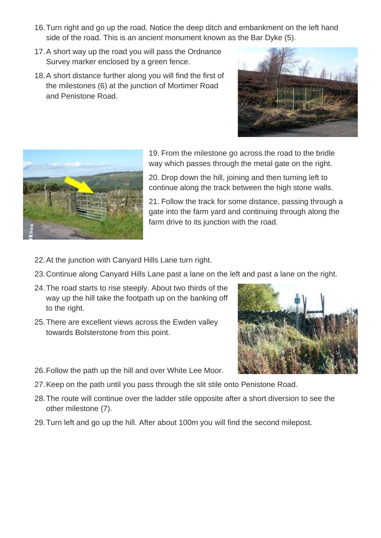- 16.Turn right and go up the road. Notice the deep ditch and embankment on the left hand side of the road. This is an ancient monument known as the Bar Dyke (5).
- 17.A short way up the road you will pass the Ordnance Survey marker enclosed by a green fence.
- 18.A short distance further along you will find the first of the milestones (6) at the junction of Mortimer Road and Penistone Road.





19. From the milestone go across the road to the bridle way which passes through the metal gate on the right.

20. Drop down the hill, joining and then turning left to continue along the track between the high stone walls.

21. Follow the track for some distance, passing through a gate into the farm yard and continuing through along the farm drive to its junction with the road.

- 22.At the junction with Canyard Hills Lane turn right.
- 23.Continue along Canyard Hills Lane past a lane on the left and past a lane on the right.
- 24.The road starts to rise steeply. About two thirds of the way up the hill take the footpath up on the banking off to the right.
- 25.There are excellent views across the Ewden valley towards Bolsterstone from this point.



- 26.Follow the path up the hill and over White Lee Moor.
- 27.Keep on the path until you pass through the slit stile onto Penistone Road.
- 28.The route will continue over the ladder stile opposite after a short diversion to see the other milestone (7).
- 29.Turn left and go up the hill. After about 100m you will find the second milepost.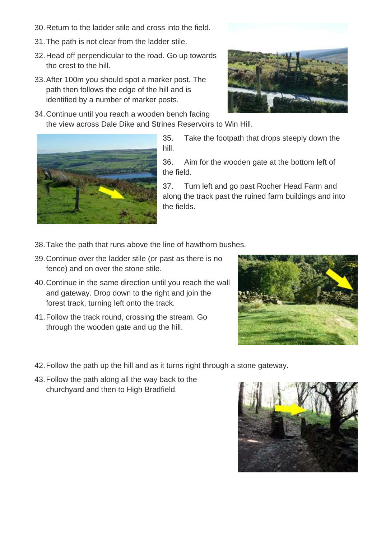- 30.Return to the ladder stile and cross into the field.
- 31.The path is not clear from the ladder stile.
- 32.Head off perpendicular to the road. Go up towards the crest to the hill.
- 33.After 100m you should spot a marker post. The path then follows the edge of the hill and is identified by a number of marker posts.
- 
- 34.Continue until you reach a wooden bench facing the view across Dale Dike and Strines Reservoirs to Win Hill.



35. Take the footpath that drops steeply down the hill.

36. Aim for the wooden gate at the bottom left of the field.

37. Turn left and go past Rocher Head Farm and along the track past the ruined farm buildings and into the fields.

- 38.Take the path that runs above the line of hawthorn bushes.
- 39.Continue over the ladder stile (or past as there is no fence) and on over the stone stile.
- 40.Continue in the same direction until you reach the wall and gateway. Drop down to the right and join the forest track, turning left onto the track.
- 41.Follow the track round, crossing the stream. Go through the wooden gate and up the hill.



- 42.Follow the path up the hill and as it turns right through a stone gateway.
- 43.Follow the path along all the way back to the churchyard and then to High Bradfield.

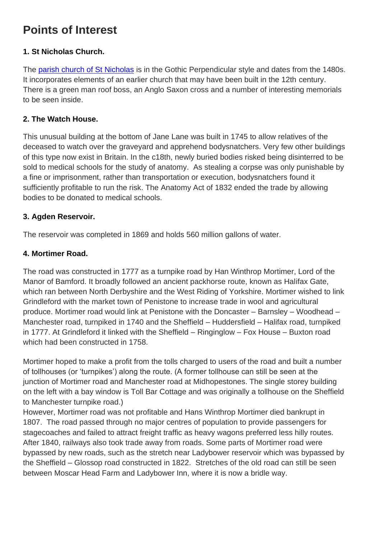# **Points of Interest**

### **1. St Nicholas Church.**

The [parish church of St Nicholas](http://www.achurchnearyou.com/bradfield-st-nicholas/) is in the Gothic Perpendicular style and dates from the 1480s. It incorporates elements of an earlier church that may have been built in the 12th century. There is a green man roof boss, an Anglo Saxon cross and a number of interesting memorials to be seen inside.

## **2. The Watch House.**

This unusual building at the bottom of Jane Lane was built in 1745 to allow relatives of the deceased to watch over the graveyard and apprehend bodysnatchers. Very few other buildings of this type now exist in Britain. In the c18th, newly buried bodies risked being disinterred to be sold to medical schools for the study of anatomy. As stealing a corpse was only punishable by a fine or imprisonment, rather than transportation or execution, bodysnatchers found it sufficiently profitable to run the risk. The Anatomy Act of 1832 ended the trade by allowing bodies to be donated to medical schools.

### **3. Agden Reservoir.**

The reservoir was completed in 1869 and holds 560 million gallons of water.

### **4. Mortimer Road.**

The road was constructed in 1777 as a turnpike road by Han Winthrop Mortimer, Lord of the Manor of Bamford. It broadly followed an ancient packhorse route, known as Halifax Gate, which ran between North Derbyshire and the West Riding of Yorkshire. Mortimer wished to link Grindleford with the market town of Penistone to increase trade in wool and agricultural produce. Mortimer road would link at Penistone with the Doncaster – Barnsley – Woodhead – Manchester road, turnpiked in 1740 and the Sheffield – Huddersfield – Halifax road, turnpiked in 1777. At Grindleford it linked with the Sheffield – Ringinglow – Fox House – Buxton road which had been constructed in 1758.

Mortimer hoped to make a profit from the tolls charged to users of the road and built a number of tollhouses (or 'turnpikes') along the route. (A former tollhouse can still be seen at the junction of Mortimer road and Manchester road at Midhopestones. The single storey building on the left with a bay window is Toll Bar Cottage and was originally a tollhouse on the Sheffield to Manchester turnpike road.)

However, Mortimer road was not profitable and Hans Winthrop Mortimer died bankrupt in 1807. The road passed through no major centres of population to provide passengers for stagecoaches and failed to attract freight traffic as heavy wagons preferred less hilly routes. After 1840, railways also took trade away from roads. Some parts of Mortimer road were bypassed by new roads, such as the stretch near Ladybower reservoir which was bypassed by the Sheffield – Glossop road constructed in 1822. Stretches of the old road can still be seen between Moscar Head Farm and Ladybower Inn, where it is now a bridle way.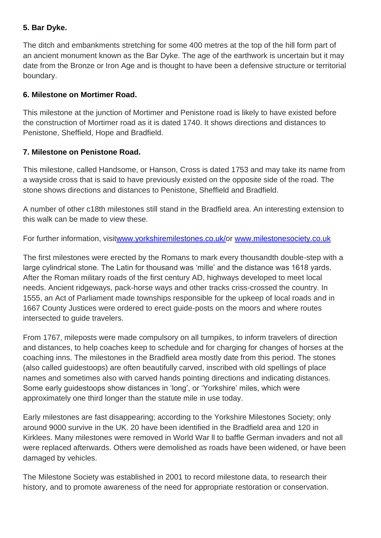#### **5. Bar Dyke.**

The ditch and embankments stretching for some 400 metres at the top of the hill form part of an ancient monument known as the Bar Dyke. The age of the earthwork is uncertain but it may date from the Bronze or Iron Age and is thought to have been a defensive structure or territorial boundary.

#### **6. Milestone on Mortimer Road.**

This milestone at the junction of Mortimer and Penistone road is likely to have existed before the construction of Mortimer road as it is dated 1740. It shows directions and distances to Penistone, Sheffield, Hope and Bradfield.

#### **7. Milestone on Penistone Road.**

This milestone, called Handsome, or Hanson, Cross is dated 1753 and may take its name from a wayside cross that is said to have previously existed on the opposite side of the road. The stone shows directions and distances to Penistone, Sheffield and Bradfield.

A number of other c18th milestones still stand in the Bradfield area. An interesting extension to this walk can be made to view these.

For further information, visi[twww.yorkshiremilestones.co.uk/o](https://www.yorkshiremilestones.co.uk/)r [www.milestonesociety.co.uk](http://www.milestonesociety.co.uk/) 

The first milestones were erected by the Romans to mark every thousandth double-step with a large cylindrical stone. The Latin for thousand was 'mille' and the distance was 1618 yards. After the Roman military roads of the first century AD, highways developed to meet local needs. Ancient ridgeways, pack-horse ways and other tracks criss-crossed the country. In 1555, an Act of Parliament made townships responsible for the upkeep of local roads and in 1667 County Justices were ordered to erect guide-posts on the moors and where routes intersected to guide travelers.

From 1767, mileposts were made compulsory on all turnpikes, to inform travelers of direction and distances, to help coaches keep to schedule and for charging for changes of horses at the coaching inns. The milestones in the Bradfield area mostly date from this period. The stones (also called guidestoops) are often beautifully carved, inscribed with old spellings of place names and sometimes also with carved hands pointing directions and indicating distances. Some early guidestoops show distances in 'long', or 'Yorkshire' miles, which were approximately one third longer than the statute mile in use today.

Early milestones are fast disappearing; according to the Yorkshire Milestones Society; only around 9000 survive in the UK. 20 have been identified in the Bradfield area and 120 in Kirklees. Many milestones were removed in World War ll to baffle German invaders and not all were replaced afterwards. Others were demolished as roads have been widened, or have been damaged by vehicles.

The Milestone Society was established in 2001 to record milestone data, to research their history, and to promote awareness of the need for appropriate restoration or conservation.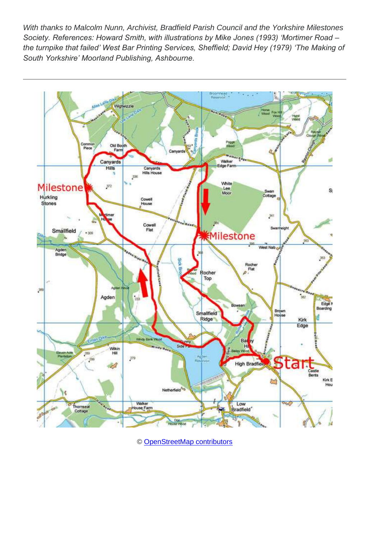*With thanks to Malcolm Nunn, Archivist, Bradfield Parish Council and the Yorkshire Milestones Society. References: Howard Smith, with illustrations by Mike Jones (1993) 'Mortimer Road – the turnpike that failed' West Bar Printing Services, Sheffield; David Hey (1979) 'The Making of South Yorkshire' Moorland Publishing, Ashbourne.* 



© [OpenStreetMap contributors](http://www.openstreetmap.org/copyright)